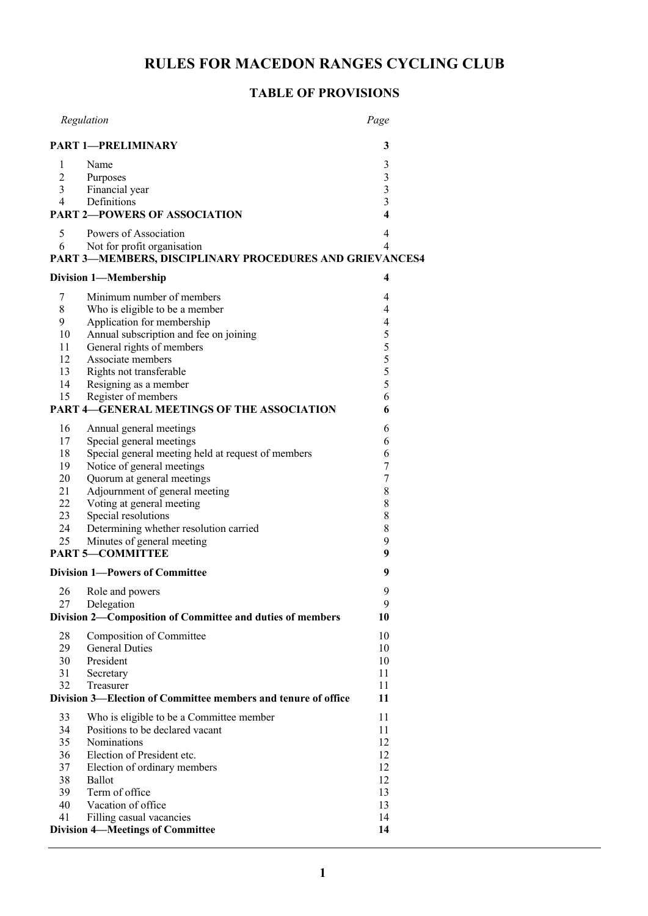# **RULES FOR MACEDON RANGES CYCLING CLUB**

# **TABLE OF PROVISIONS**

|                | Regulation                                                                             | Page                    |
|----------------|----------------------------------------------------------------------------------------|-------------------------|
|                | <b>PART 1-PRELIMINARY</b>                                                              | 3                       |
| 1              | Name                                                                                   | 3                       |
| $\overline{c}$ | Purposes                                                                               | 3                       |
| $\overline{3}$ | Financial year                                                                         | $\overline{\mathbf{3}}$ |
| $\overline{4}$ | Definitions                                                                            | 3                       |
|                | <b>PART 2-POWERS OF ASSOCIATION</b>                                                    | $\overline{\mathbf{4}}$ |
| 5              | Powers of Association                                                                  | 4                       |
| 6              | Not for profit organisation<br>PART 3-MEMBERS, DISCIPLINARY PROCEDURES AND GRIEVANCES4 | 4                       |
|                | <b>Division 1-Membership</b>                                                           | 4                       |
| 7              | Minimum number of members                                                              | 4                       |
| 8              | Who is eligible to be a member                                                         | 4                       |
| 9              | Application for membership                                                             | $\overline{\mathbf{4}}$ |
| 10             | Annual subscription and fee on joining                                                 | 5                       |
| 11             | General rights of members                                                              | 5                       |
| 12             | Associate members                                                                      | 5                       |
| 13             | Rights not transferable                                                                | 5                       |
| 14             | Resigning as a member                                                                  | 5                       |
| 15             | Register of members                                                                    | 6                       |
|                | <b>PART 4-GENERAL MEETINGS OF THE ASSOCIATION</b>                                      | 6                       |
| 16             | Annual general meetings                                                                | 6                       |
| 17             | Special general meetings                                                               | 6                       |
| 18             | Special general meeting held at request of members                                     | 6                       |
| 19             | Notice of general meetings                                                             | 7                       |
| 20             | Quorum at general meetings                                                             | 7                       |
| 21             | Adjournment of general meeting                                                         | 8                       |
| 22             | Voting at general meeting                                                              | $\,$ $\,$               |
| 23             | Special resolutions                                                                    | $\,$ $\,$               |
| 24             | Determining whether resolution carried                                                 | $\,$ $\,$               |
| 25             | Minutes of general meeting<br><b>PART 5-COMMITTEE</b>                                  | 9<br>9                  |
|                |                                                                                        |                         |
|                | <b>Division 1-Powers of Committee</b>                                                  | 9                       |
| 26             | Role and powers                                                                        | 9                       |
| 27             | Delegation<br>Division 2-Composition of Committee and duties of members                | 9<br>10                 |
|                |                                                                                        | 10                      |
| 28<br>29       | Composition of Committee<br><b>General Duties</b>                                      | 10                      |
| 30             | President                                                                              | 10                      |
| 31             | Secretary                                                                              | 11                      |
| 32             | Treasurer                                                                              | 11                      |
|                | Division 3—Election of Committee members and tenure of office                          | 11                      |
| 33             | Who is eligible to be a Committee member                                               | 11                      |
| 34             | Positions to be declared vacant                                                        | 11                      |
| 35             | Nominations                                                                            | 12                      |
| 36             | Election of President etc.                                                             | 12                      |
| 37             | Election of ordinary members                                                           | 12                      |
| 38             | Ballot                                                                                 | 12                      |
| 39             | Term of office                                                                         | 13                      |
| 40             | Vacation of office                                                                     | 13                      |
| 41             | Filling casual vacancies                                                               | 14                      |
|                | <b>Division 4-Meetings of Committee</b>                                                | 14                      |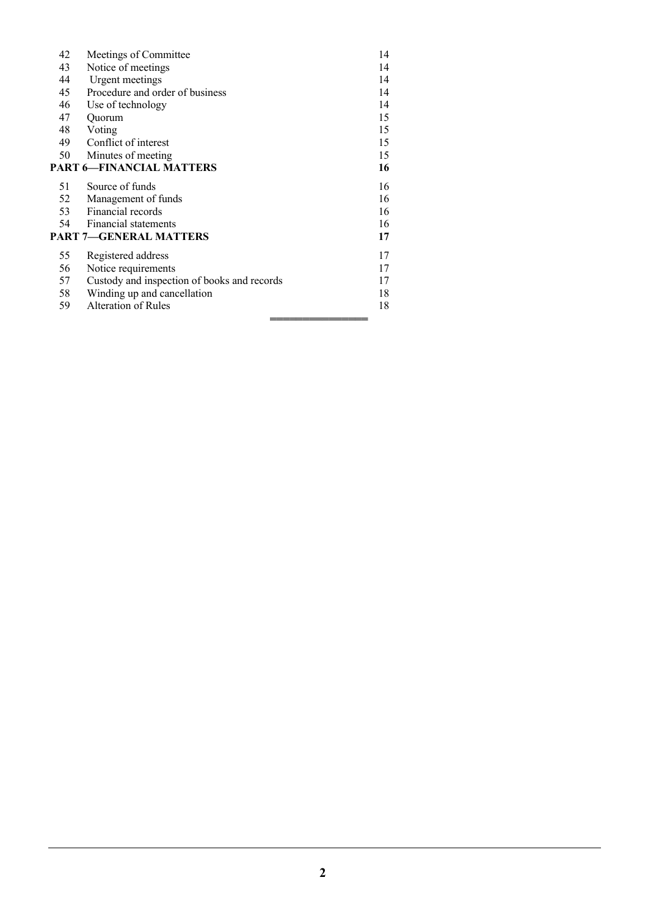| Notice of meetings<br>43<br>14<br><b>Urgent</b> meetings<br>14<br>44<br>Procedure and order of business<br>14<br>45<br>14<br>Use of technology<br>46<br>15<br>47<br>Quorum<br>Voting<br>15<br>48<br>Conflict of interest<br>15<br>49<br>50<br>Minutes of meeting<br>15<br><b>PART 6-FINANCIAL MATTERS</b><br>16<br>Source of funds<br>16<br>51<br>Management of funds<br>16<br>52<br>Financial records<br>16<br>53<br>Financial statements<br>54<br>16<br><b>PART 7-GENERAL MATTERS</b><br>17<br>Registered address<br>17<br>55<br>Notice requirements<br>17<br>56<br>Custody and inspection of books and records<br>17<br>57<br>18<br>58<br>Winding up and cancellation<br>18<br>Alteration of Rules<br>59 | 42 | Meetings of Committee | 14 |  |
|-------------------------------------------------------------------------------------------------------------------------------------------------------------------------------------------------------------------------------------------------------------------------------------------------------------------------------------------------------------------------------------------------------------------------------------------------------------------------------------------------------------------------------------------------------------------------------------------------------------------------------------------------------------------------------------------------------------|----|-----------------------|----|--|
|                                                                                                                                                                                                                                                                                                                                                                                                                                                                                                                                                                                                                                                                                                             |    |                       |    |  |
|                                                                                                                                                                                                                                                                                                                                                                                                                                                                                                                                                                                                                                                                                                             |    |                       |    |  |
|                                                                                                                                                                                                                                                                                                                                                                                                                                                                                                                                                                                                                                                                                                             |    |                       |    |  |
|                                                                                                                                                                                                                                                                                                                                                                                                                                                                                                                                                                                                                                                                                                             |    |                       |    |  |
|                                                                                                                                                                                                                                                                                                                                                                                                                                                                                                                                                                                                                                                                                                             |    |                       |    |  |
|                                                                                                                                                                                                                                                                                                                                                                                                                                                                                                                                                                                                                                                                                                             |    |                       |    |  |
|                                                                                                                                                                                                                                                                                                                                                                                                                                                                                                                                                                                                                                                                                                             |    |                       |    |  |
|                                                                                                                                                                                                                                                                                                                                                                                                                                                                                                                                                                                                                                                                                                             |    |                       |    |  |
|                                                                                                                                                                                                                                                                                                                                                                                                                                                                                                                                                                                                                                                                                                             |    |                       |    |  |
|                                                                                                                                                                                                                                                                                                                                                                                                                                                                                                                                                                                                                                                                                                             |    |                       |    |  |
|                                                                                                                                                                                                                                                                                                                                                                                                                                                                                                                                                                                                                                                                                                             |    |                       |    |  |
|                                                                                                                                                                                                                                                                                                                                                                                                                                                                                                                                                                                                                                                                                                             |    |                       |    |  |
|                                                                                                                                                                                                                                                                                                                                                                                                                                                                                                                                                                                                                                                                                                             |    |                       |    |  |
|                                                                                                                                                                                                                                                                                                                                                                                                                                                                                                                                                                                                                                                                                                             |    |                       |    |  |
|                                                                                                                                                                                                                                                                                                                                                                                                                                                                                                                                                                                                                                                                                                             |    |                       |    |  |
|                                                                                                                                                                                                                                                                                                                                                                                                                                                                                                                                                                                                                                                                                                             |    |                       |    |  |
|                                                                                                                                                                                                                                                                                                                                                                                                                                                                                                                                                                                                                                                                                                             |    |                       |    |  |
|                                                                                                                                                                                                                                                                                                                                                                                                                                                                                                                                                                                                                                                                                                             |    |                       |    |  |
|                                                                                                                                                                                                                                                                                                                                                                                                                                                                                                                                                                                                                                                                                                             |    |                       |    |  |
|                                                                                                                                                                                                                                                                                                                                                                                                                                                                                                                                                                                                                                                                                                             |    |                       |    |  |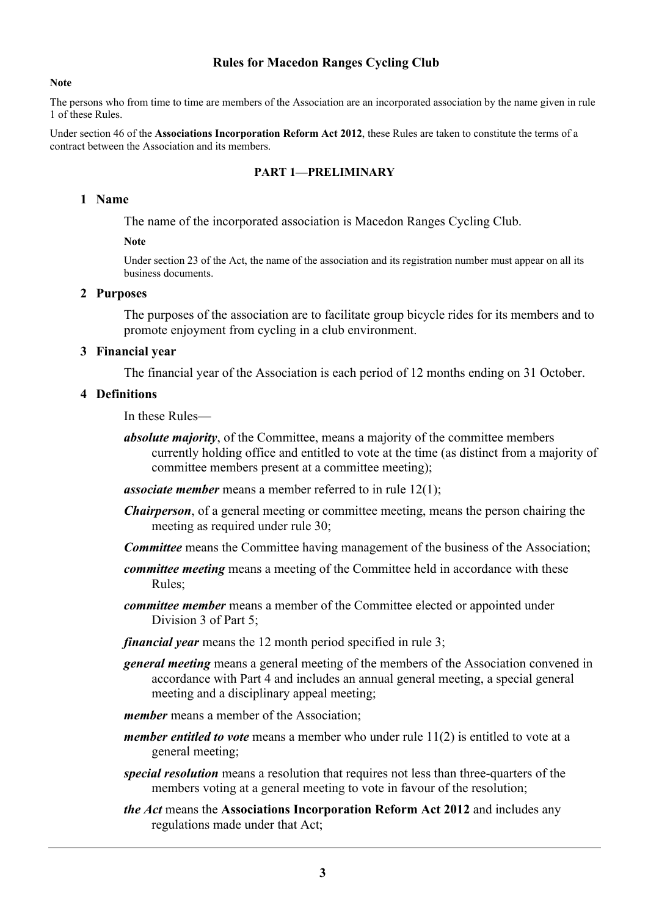## **Rules for Macedon Ranges Cycling Club**

#### **Note**

The persons who from time to time are members of the Association are an incorporated association by the name given in rule 1 of these Rules.

Under section 46 of the **Associations Incorporation Reform Act 2012**, these Rules are taken to constitute the terms of a contract between the Association and its members.

## **PART 1—PRELIMINARY**

### **1 Name**

The name of the incorporated association is Macedon Ranges Cycling Club.

#### **Note**

Under section 23 of the Act, the name of the association and its registration number must appear on all its business documents.

### **2 Purposes**

The purposes of the association are to facilitate group bicycle rides for its members and to promote enjoyment from cycling in a club environment.

#### **3 Financial year**

The financial year of the Association is each period of 12 months ending on 31 October.

#### **4 Definitions**

In these Rules—

*absolute majority*, of the Committee, means a majority of the committee members currently holding office and entitled to vote at the time (as distinct from a majority of committee members present at a committee meeting);

*associate member* means a member referred to in rule 12(1);

- *Chairperson*, of a general meeting or committee meeting, means the person chairing the meeting as required under rule 30;
- *Committee* means the Committee having management of the business of the Association;
- *committee meeting* means a meeting of the Committee held in accordance with these Rules;
- *committee member* means a member of the Committee elected or appointed under Division 3 of Part 5;
- *financial year* means the 12 month period specified in rule 3;
- *general meeting* means a general meeting of the members of the Association convened in accordance with Part 4 and includes an annual general meeting, a special general meeting and a disciplinary appeal meeting;
- *member* means a member of the Association;
- *member entitled to vote* means a member who under rule 11(2) is entitled to vote at a general meeting;
- *special resolution* means a resolution that requires not less than three-quarters of the members voting at a general meeting to vote in favour of the resolution;
- *the Act* means the **Associations Incorporation Reform Act 2012** and includes any regulations made under that Act;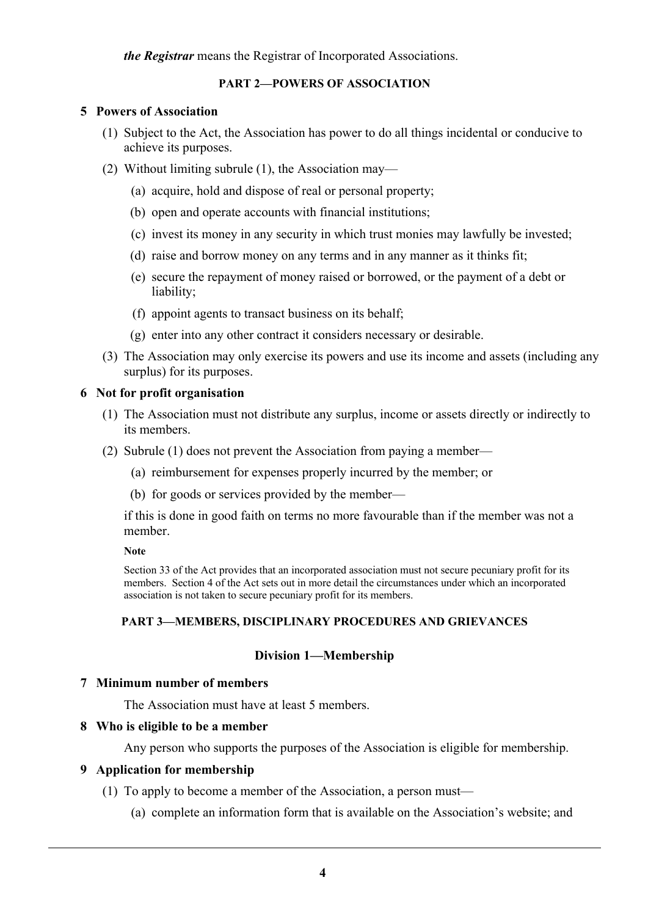*the Registrar* means the Registrar of Incorporated Associations.

## **PART 2—POWERS OF ASSOCIATION**

## **5 Powers of Association**

- (1) Subject to the Act, the Association has power to do all things incidental or conducive to achieve its purposes.
- (2) Without limiting subrule (1), the Association may—
	- (a) acquire, hold and dispose of real or personal property;
	- (b) open and operate accounts with financial institutions;
	- (c) invest its money in any security in which trust monies may lawfully be invested;
	- (d) raise and borrow money on any terms and in any manner as it thinks fit;
	- (e) secure the repayment of money raised or borrowed, or the payment of a debt or liability;
	- (f) appoint agents to transact business on its behalf;
	- (g) enter into any other contract it considers necessary or desirable.
- (3) The Association may only exercise its powers and use its income and assets (including any surplus) for its purposes.

## **6 Not for profit organisation**

- (1) The Association must not distribute any surplus, income or assets directly or indirectly to its members.
- (2) Subrule (1) does not prevent the Association from paying a member—
	- (a) reimbursement for expenses properly incurred by the member; or
	- (b) for goods or services provided by the member—

if this is done in good faith on terms no more favourable than if the member was not a member.

#### **Note**

Section 33 of the Act provides that an incorporated association must not secure pecuniary profit for its members. Section 4 of the Act sets out in more detail the circumstances under which an incorporated association is not taken to secure pecuniary profit for its members.

## **PART 3—MEMBERS, DISCIPLINARY PROCEDURES AND GRIEVANCES**

## **Division 1—Membership**

## **7 Minimum number of members**

The Association must have at least 5 members.

## **8 Who is eligible to be a member**

Any person who supports the purposes of the Association is eligible for membership.

## **9 Application for membership**

- (1) To apply to become a member of the Association, a person must—
	- (a) complete an information form that is available on the Association's website; and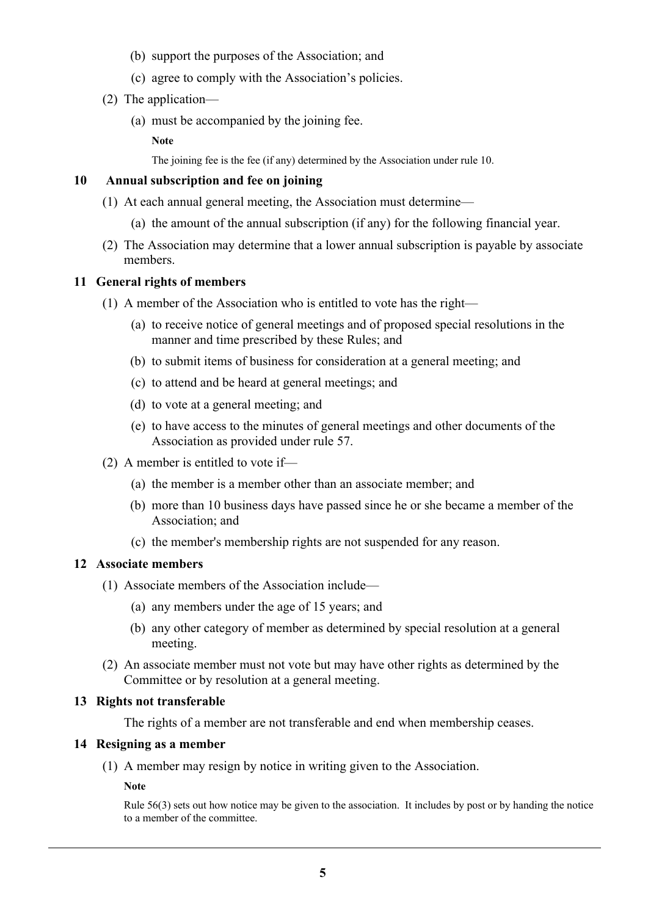- (b) support the purposes of the Association; and
- (c) agree to comply with the Association's policies.
- (2) The application—
	- (a) must be accompanied by the joining fee.

**Note**

The joining fee is the fee (if any) determined by the Association under rule 10.

## **10 Annual subscription and fee on joining**

- (1) At each annual general meeting, the Association must determine—
	- (a) the amount of the annual subscription (if any) for the following financial year.
- (2) The Association may determine that a lower annual subscription is payable by associate members.

## **11 General rights of members**

- (1) A member of the Association who is entitled to vote has the right—
	- (a) to receive notice of general meetings and of proposed special resolutions in the manner and time prescribed by these Rules; and
	- (b) to submit items of business for consideration at a general meeting; and
	- (c) to attend and be heard at general meetings; and
	- (d) to vote at a general meeting; and
	- (e) to have access to the minutes of general meetings and other documents of the Association as provided under rule 57.
- (2) A member is entitled to vote if—
	- (a) the member is a member other than an associate member; and
	- (b) more than 10 business days have passed since he or she became a member of the Association; and
	- (c) the member's membership rights are not suspended for any reason.

## **12 Associate members**

- (1) Associate members of the Association include—
	- (a) any members under the age of 15 years; and
	- (b) any other category of member as determined by special resolution at a general meeting.
- (2) An associate member must not vote but may have other rights as determined by the Committee or by resolution at a general meeting.

## **13 Rights not transferable**

The rights of a member are not transferable and end when membership ceases.

## **14 Resigning as a member**

(1) A member may resign by notice in writing given to the Association.

**Note**

Rule 56(3) sets out how notice may be given to the association. It includes by post or by handing the notice to a member of the committee.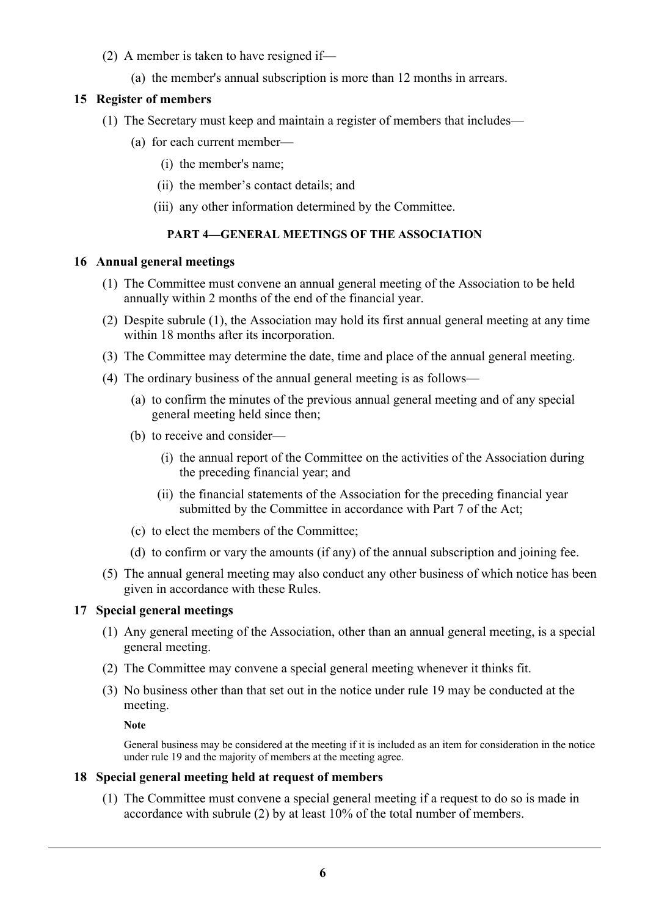- (2) A member is taken to have resigned if—
	- (a) the member's annual subscription is more than 12 months in arrears.

## **15 Register of members**

- (1) The Secretary must keep and maintain a register of members that includes—
	- (a) for each current member—
		- (i) the member's name;
		- (ii) the member's contact details; and
		- (iii) any other information determined by the Committee.

## **PART 4—GENERAL MEETINGS OF THE ASSOCIATION**

## **16 Annual general meetings**

- (1) The Committee must convene an annual general meeting of the Association to be held annually within 2 months of the end of the financial year.
- (2) Despite subrule (1), the Association may hold its first annual general meeting at any time within 18 months after its incorporation.
- (3) The Committee may determine the date, time and place of the annual general meeting.
- (4) The ordinary business of the annual general meeting is as follows—
	- (a) to confirm the minutes of the previous annual general meeting and of any special general meeting held since then;
	- (b) to receive and consider—
		- (i) the annual report of the Committee on the activities of the Association during the preceding financial year; and
		- (ii) the financial statements of the Association for the preceding financial year submitted by the Committee in accordance with Part 7 of the Act;
	- (c) to elect the members of the Committee;
	- (d) to confirm or vary the amounts (if any) of the annual subscription and joining fee.
- (5) The annual general meeting may also conduct any other business of which notice has been given in accordance with these Rules.

## **17 Special general meetings**

- (1) Any general meeting of the Association, other than an annual general meeting, is a special general meeting.
- (2) The Committee may convene a special general meeting whenever it thinks fit.
- (3) No business other than that set out in the notice under rule 19 may be conducted at the meeting.

## **Note**

General business may be considered at the meeting if it is included as an item for consideration in the notice under rule 19 and the majority of members at the meeting agree.

## **18 Special general meeting held at request of members**

(1) The Committee must convene a special general meeting if a request to do so is made in accordance with subrule (2) by at least 10% of the total number of members.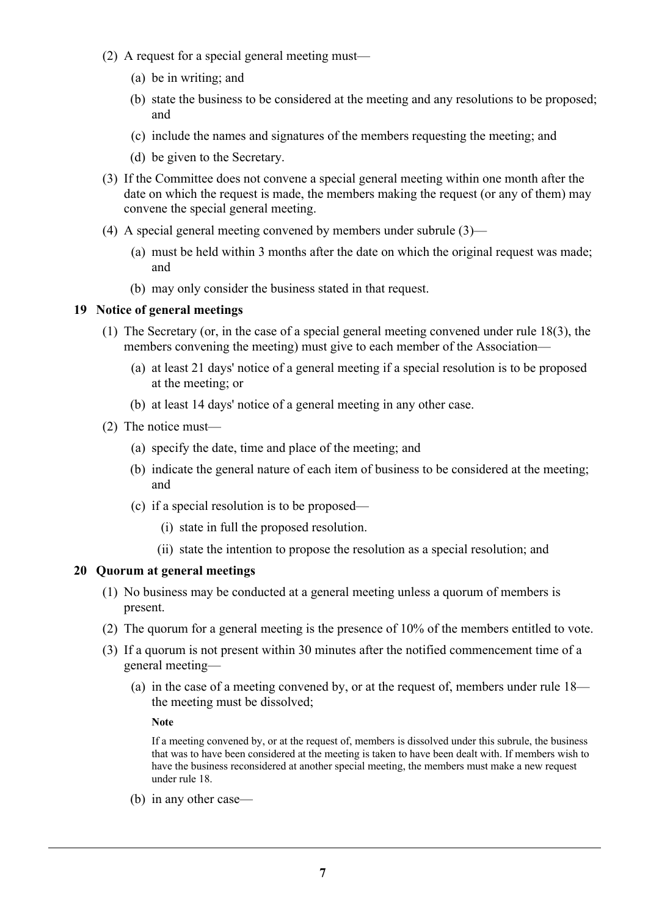- (2) A request for a special general meeting must—
	- (a) be in writing; and
	- (b) state the business to be considered at the meeting and any resolutions to be proposed; and
	- (c) include the names and signatures of the members requesting the meeting; and
	- (d) be given to the Secretary.
- (3) If the Committee does not convene a special general meeting within one month after the date on which the request is made, the members making the request (or any of them) may convene the special general meeting.
- (4) A special general meeting convened by members under subrule (3)—
	- (a) must be held within 3 months after the date on which the original request was made; and
	- (b) may only consider the business stated in that request.

## **19 Notice of general meetings**

- (1) The Secretary (or, in the case of a special general meeting convened under rule 18(3), the members convening the meeting) must give to each member of the Association—
	- (a) at least 21 days' notice of a general meeting if a special resolution is to be proposed at the meeting; or
	- (b) at least 14 days' notice of a general meeting in any other case.
- (2) The notice must—
	- (a) specify the date, time and place of the meeting; and
	- (b) indicate the general nature of each item of business to be considered at the meeting; and
	- (c) if a special resolution is to be proposed—
		- (i) state in full the proposed resolution.
		- (ii) state the intention to propose the resolution as a special resolution; and

## **20 Quorum at general meetings**

- (1) No business may be conducted at a general meeting unless a quorum of members is present.
- (2) The quorum for a general meeting is the presence of 10% of the members entitled to vote.
- (3) If a quorum is not present within 30 minutes after the notified commencement time of a general meeting—
	- (a) in the case of a meeting convened by, or at the request of, members under rule 18 the meeting must be dissolved;

**Note**

If a meeting convened by, or at the request of, members is dissolved under this subrule, the business that was to have been considered at the meeting is taken to have been dealt with. If members wish to have the business reconsidered at another special meeting, the members must make a new request under rule 18.

(b) in any other case—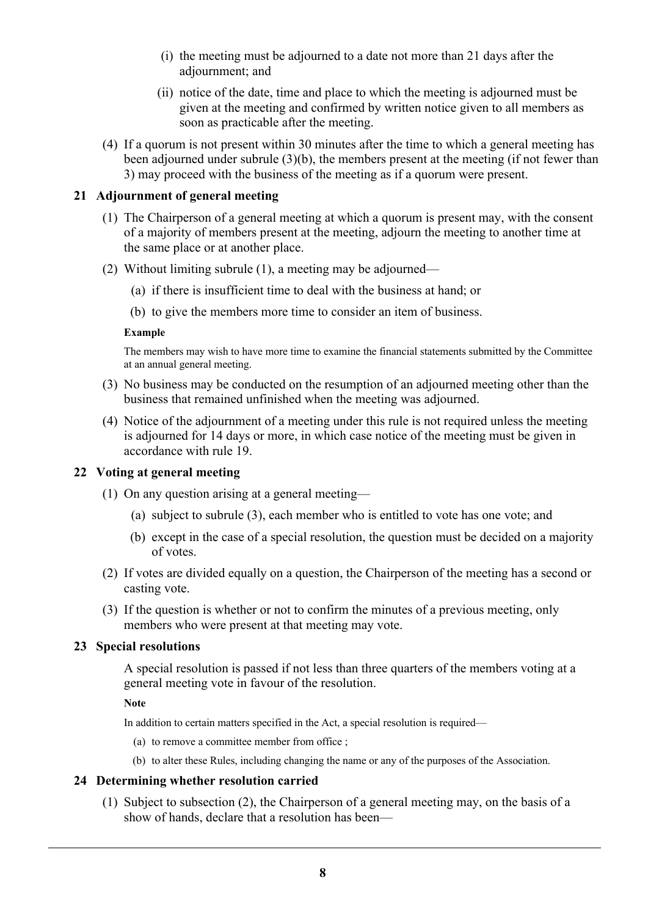- (i) the meeting must be adjourned to a date not more than 21 days after the adjournment; and
- (ii) notice of the date, time and place to which the meeting is adjourned must be given at the meeting and confirmed by written notice given to all members as soon as practicable after the meeting.
- (4) If a quorum is not present within 30 minutes after the time to which a general meeting has been adjourned under subrule (3)(b), the members present at the meeting (if not fewer than 3) may proceed with the business of the meeting as if a quorum were present.

## **21 Adjournment of general meeting**

- (1) The Chairperson of a general meeting at which a quorum is present may, with the consent of a majority of members present at the meeting, adjourn the meeting to another time at the same place or at another place.
- (2) Without limiting subrule (1), a meeting may be adjourned—
	- (a) if there is insufficient time to deal with the business at hand; or
	- (b) to give the members more time to consider an item of business.

### **Example**

The members may wish to have more time to examine the financial statements submitted by the Committee at an annual general meeting.

- (3) No business may be conducted on the resumption of an adjourned meeting other than the business that remained unfinished when the meeting was adjourned.
- (4) Notice of the adjournment of a meeting under this rule is not required unless the meeting is adjourned for 14 days or more, in which case notice of the meeting must be given in accordance with rule 19.

## **22 Voting at general meeting**

- (1) On any question arising at a general meeting—
	- (a) subject to subrule (3), each member who is entitled to vote has one vote; and
	- (b) except in the case of a special resolution, the question must be decided on a majority of votes.
- (2) If votes are divided equally on a question, the Chairperson of the meeting has a second or casting vote.
- (3) If the question is whether or not to confirm the minutes of a previous meeting, only members who were present at that meeting may vote.

## **23 Special resolutions**

A special resolution is passed if not less than three quarters of the members voting at a general meeting vote in favour of the resolution.

**Note**

In addition to certain matters specified in the Act, a special resolution is required—

- (a) to remove a committee member from office ;
- (b) to alter these Rules, including changing the name or any of the purposes of the Association.

## **24 Determining whether resolution carried**

(1) Subject to subsection (2), the Chairperson of a general meeting may, on the basis of a show of hands, declare that a resolution has been—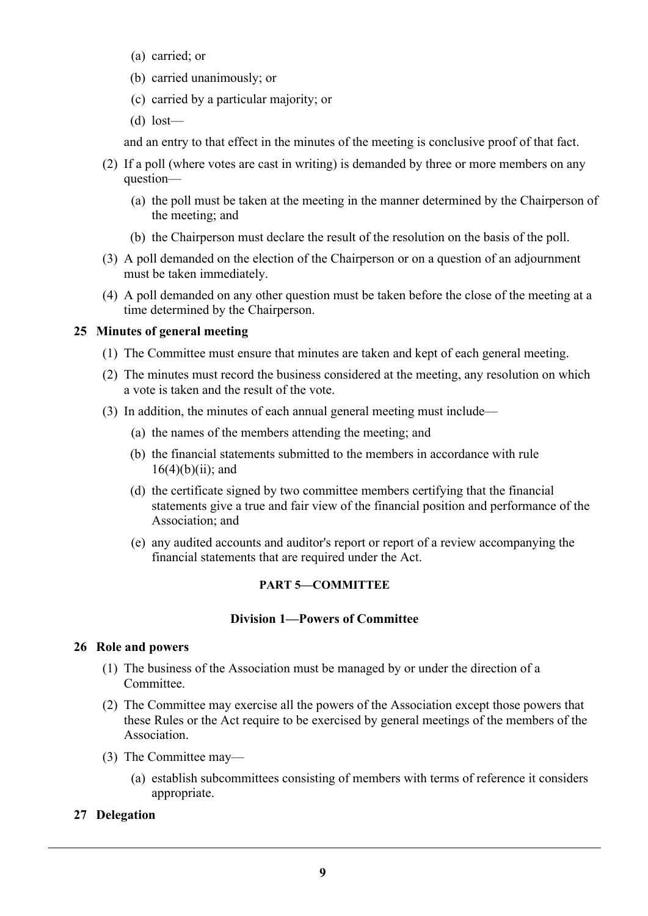- (a) carried; or
- (b) carried unanimously; or
- (c) carried by a particular majority; or
- (d) lost—

and an entry to that effect in the minutes of the meeting is conclusive proof of that fact.

- (2) If a poll (where votes are cast in writing) is demanded by three or more members on any question—
	- (a) the poll must be taken at the meeting in the manner determined by the Chairperson of the meeting; and
	- (b) the Chairperson must declare the result of the resolution on the basis of the poll.
- (3) A poll demanded on the election of the Chairperson or on a question of an adjournment must be taken immediately.
- (4) A poll demanded on any other question must be taken before the close of the meeting at a time determined by the Chairperson.

## **25 Minutes of general meeting**

- (1) The Committee must ensure that minutes are taken and kept of each general meeting.
- (2) The minutes must record the business considered at the meeting, any resolution on which a vote is taken and the result of the vote.
- (3) In addition, the minutes of each annual general meeting must include—
	- (a) the names of the members attending the meeting; and
	- (b) the financial statements submitted to the members in accordance with rule  $16(4)(b)(ii)$ ; and
	- (d) the certificate signed by two committee members certifying that the financial statements give a true and fair view of the financial position and performance of the Association; and
	- (e) any audited accounts and auditor's report or report of a review accompanying the financial statements that are required under the Act.

## **PART 5—COMMITTEE**

## **Division 1—Powers of Committee**

## **26 Role and powers**

- (1) The business of the Association must be managed by or under the direction of a Committee.
- (2) The Committee may exercise all the powers of the Association except those powers that these Rules or the Act require to be exercised by general meetings of the members of the Association.
- (3) The Committee may—
	- (a) establish subcommittees consisting of members with terms of reference it considers appropriate.

## **27 Delegation**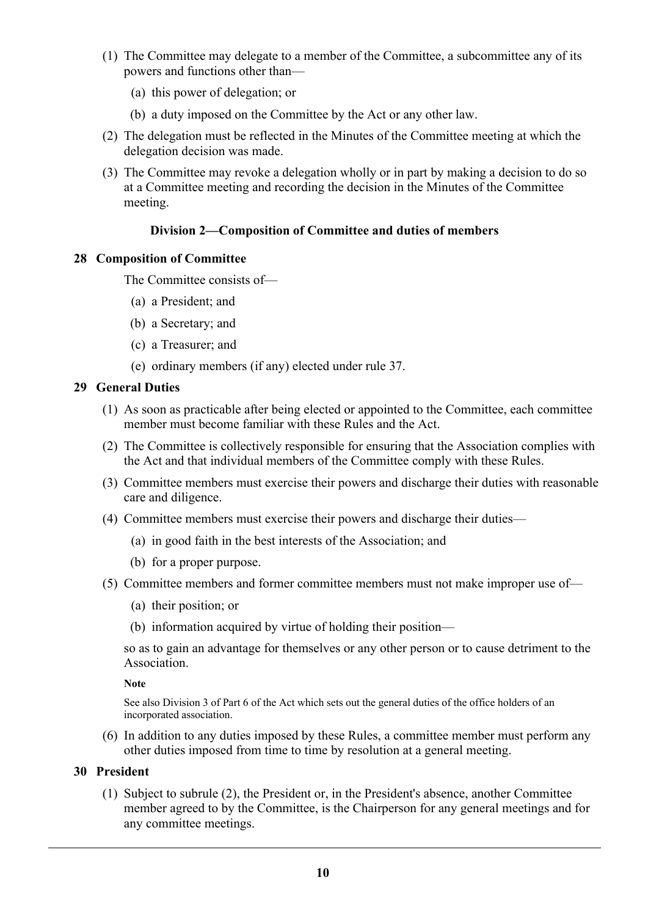- (1) The Committee may delegate to a member of the Committee, a subcommittee any of its powers and functions other than—
	- (a) this power of delegation; or
	- (b) a duty imposed on the Committee by the Act or any other law.
- (2) The delegation must be reflected in the Minutes of the Committee meeting at which the delegation decision was made.
- (3) The Committee may revoke a delegation wholly or in part by making a decision to do so at a Committee meeting and recording the decision in the Minutes of the Committee meeting.

## **Division 2—Composition of Committee and duties of members**

## **28 Composition of Committee**

The Committee consists of—

- (a) a President; and
- (b) a Secretary; and
- (c) a Treasurer; and
- (e) ordinary members (if any) elected under rule 37.

## **29 General Duties**

- (1) As soon as practicable after being elected or appointed to the Committee, each committee member must become familiar with these Rules and the Act.
- (2) The Committee is collectively responsible for ensuring that the Association complies with the Act and that individual members of the Committee comply with these Rules.
- (3) Committee members must exercise their powers and discharge their duties with reasonable care and diligence.
- (4) Committee members must exercise their powers and discharge their duties—
	- (a) in good faith in the best interests of the Association; and
	- (b) for a proper purpose.
- (5) Committee members and former committee members must not make improper use of—
	- (a) their position; or
	- (b) information acquired by virtue of holding their position—

so as to gain an advantage for themselves or any other person or to cause detriment to the **Association** 

#### **Note**

See also Division 3 of Part 6 of the Act which sets out the general duties of the office holders of an incorporated association.

(6) In addition to any duties imposed by these Rules, a committee member must perform any other duties imposed from time to time by resolution at a general meeting.

## **30 President**

(1) Subject to subrule (2), the President or, in the President's absence, another Committee member agreed to by the Committee, is the Chairperson for any general meetings and for any committee meetings.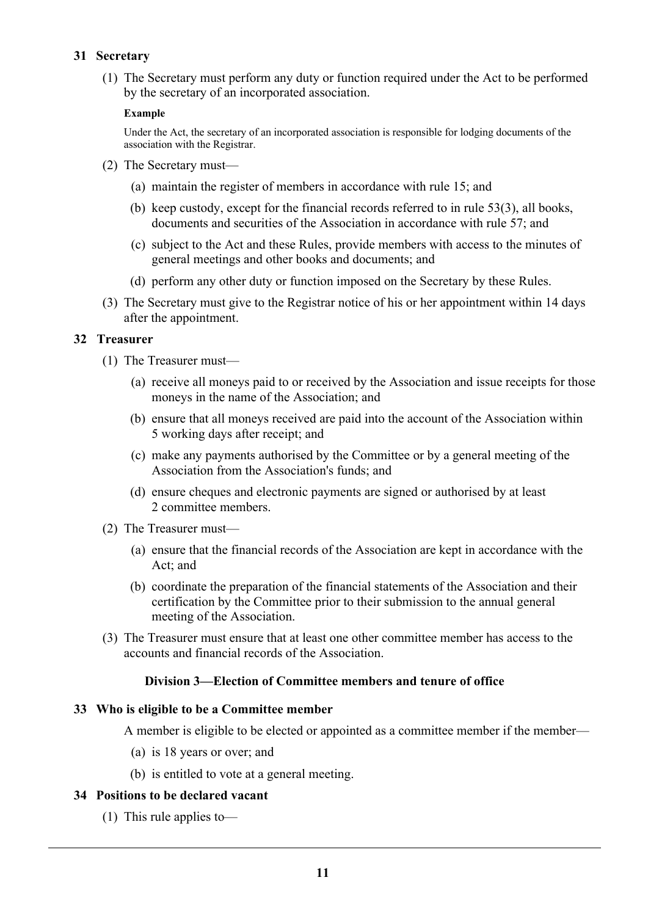## **31 Secretary**

(1) The Secretary must perform any duty or function required under the Act to be performed by the secretary of an incorporated association.

### **Example**

Under the Act, the secretary of an incorporated association is responsible for lodging documents of the association with the Registrar.

- (2) The Secretary must—
	- (a) maintain the register of members in accordance with rule 15; and
	- (b) keep custody, except for the financial records referred to in rule 53(3), all books, documents and securities of the Association in accordance with rule 57; and
	- (c) subject to the Act and these Rules, provide members with access to the minutes of general meetings and other books and documents; and
	- (d) perform any other duty or function imposed on the Secretary by these Rules.
- (3) The Secretary must give to the Registrar notice of his or her appointment within 14 days after the appointment.

## **32 Treasurer**

- (1) The Treasurer must—
	- (a) receive all moneys paid to or received by the Association and issue receipts for those moneys in the name of the Association; and
	- (b) ensure that all moneys received are paid into the account of the Association within 5 working days after receipt; and
	- (c) make any payments authorised by the Committee or by a general meeting of the Association from the Association's funds; and
	- (d) ensure cheques and electronic payments are signed or authorised by at least 2 committee members.
- (2) The Treasurer must—
	- (a) ensure that the financial records of the Association are kept in accordance with the Act; and
	- (b) coordinate the preparation of the financial statements of the Association and their certification by the Committee prior to their submission to the annual general meeting of the Association.
- (3) The Treasurer must ensure that at least one other committee member has access to the accounts and financial records of the Association.

## **Division 3—Election of Committee members and tenure of office**

#### **33 Who is eligible to be a Committee member**

A member is eligible to be elected or appointed as a committee member if the member—

- (a) is 18 years or over; and
- (b) is entitled to vote at a general meeting.

#### **34 Positions to be declared vacant**

(1) This rule applies to—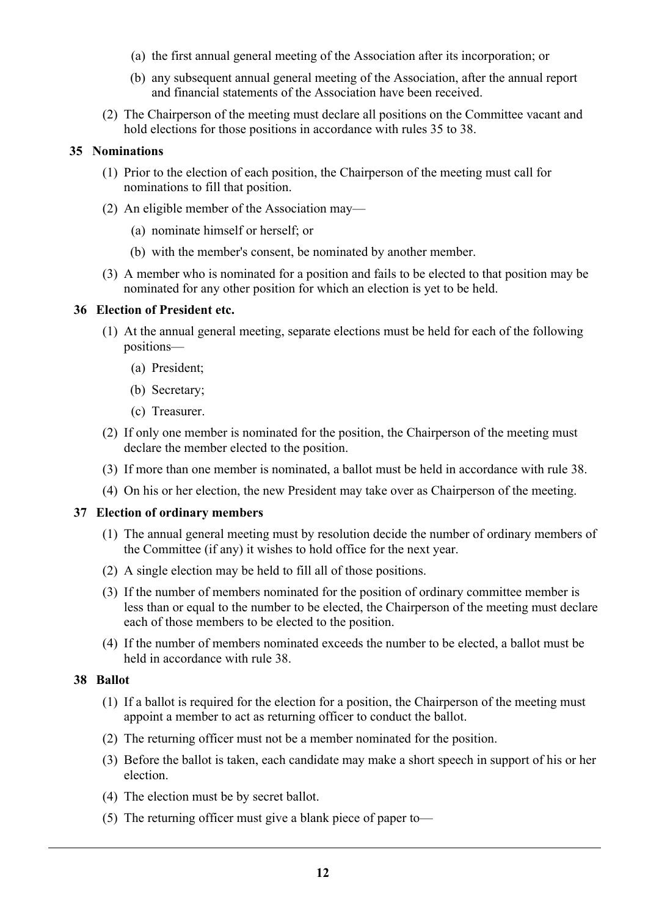- (a) the first annual general meeting of the Association after its incorporation; or
- (b) any subsequent annual general meeting of the Association, after the annual report and financial statements of the Association have been received.
- (2) The Chairperson of the meeting must declare all positions on the Committee vacant and hold elections for those positions in accordance with rules 35 to 38.

### **35 Nominations**

- (1) Prior to the election of each position, the Chairperson of the meeting must call for nominations to fill that position.
- (2) An eligible member of the Association may—
	- (a) nominate himself or herself; or
	- (b) with the member's consent, be nominated by another member.
- (3) A member who is nominated for a position and fails to be elected to that position may be nominated for any other position for which an election is yet to be held.

### **36 Election of President etc.**

- (1) At the annual general meeting, separate elections must be held for each of the following positions—
	- (a) President;
	- (b) Secretary;
	- (c) Treasurer.
- (2) If only one member is nominated for the position, the Chairperson of the meeting must declare the member elected to the position.
- (3) If more than one member is nominated, a ballot must be held in accordance with rule 38.
- (4) On his or her election, the new President may take over as Chairperson of the meeting.

#### **37 Election of ordinary members**

- (1) The annual general meeting must by resolution decide the number of ordinary members of the Committee (if any) it wishes to hold office for the next year.
- (2) A single election may be held to fill all of those positions.
- (3) If the number of members nominated for the position of ordinary committee member is less than or equal to the number to be elected, the Chairperson of the meeting must declare each of those members to be elected to the position.
- (4) If the number of members nominated exceeds the number to be elected, a ballot must be held in accordance with rule 38.

## **38 Ballot**

- (1) If a ballot is required for the election for a position, the Chairperson of the meeting must appoint a member to act as returning officer to conduct the ballot.
- (2) The returning officer must not be a member nominated for the position.
- (3) Before the ballot is taken, each candidate may make a short speech in support of his or her election.
- (4) The election must be by secret ballot.
- (5) The returning officer must give a blank piece of paper to—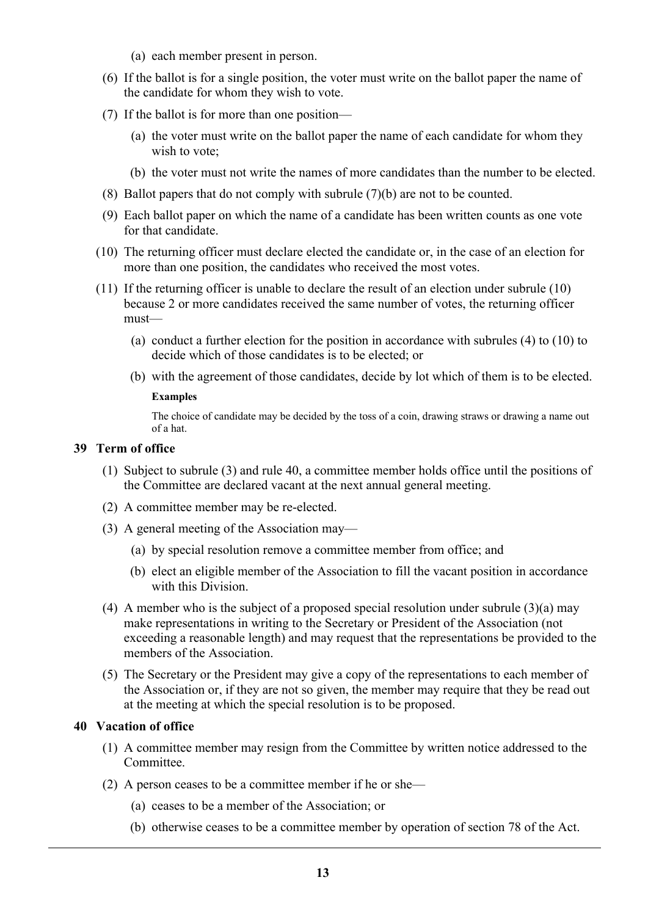- (a) each member present in person.
- (6) If the ballot is for a single position, the voter must write on the ballot paper the name of the candidate for whom they wish to vote.
- (7) If the ballot is for more than one position—
	- (a) the voter must write on the ballot paper the name of each candidate for whom they wish to vote;
	- (b) the voter must not write the names of more candidates than the number to be elected.
- (8) Ballot papers that do not comply with subrule (7)(b) are not to be counted.
- (9) Each ballot paper on which the name of a candidate has been written counts as one vote for that candidate.
- (10) The returning officer must declare elected the candidate or, in the case of an election for more than one position, the candidates who received the most votes.
- (11) If the returning officer is unable to declare the result of an election under subrule (10) because 2 or more candidates received the same number of votes, the returning officer must—
	- (a) conduct a further election for the position in accordance with subrules (4) to (10) to decide which of those candidates is to be elected; or
	- (b) with the agreement of those candidates, decide by lot which of them is to be elected.

### **Examples**

The choice of candidate may be decided by the toss of a coin, drawing straws or drawing a name out of a hat.

## **39 Term of office**

- (1) Subject to subrule (3) and rule 40, a committee member holds office until the positions of the Committee are declared vacant at the next annual general meeting.
- (2) A committee member may be re-elected.
- (3) A general meeting of the Association may—
	- (a) by special resolution remove a committee member from office; and
	- (b) elect an eligible member of the Association to fill the vacant position in accordance with this Division.
- (4) A member who is the subject of a proposed special resolution under subrule (3)(a) may make representations in writing to the Secretary or President of the Association (not exceeding a reasonable length) and may request that the representations be provided to the members of the Association.
- (5) The Secretary or the President may give a copy of the representations to each member of the Association or, if they are not so given, the member may require that they be read out at the meeting at which the special resolution is to be proposed.

## **40 Vacation of office**

- (1) A committee member may resign from the Committee by written notice addressed to the Committee.
- (2) A person ceases to be a committee member if he or she—
	- (a) ceases to be a member of the Association; or
	- (b) otherwise ceases to be a committee member by operation of section 78 of the Act.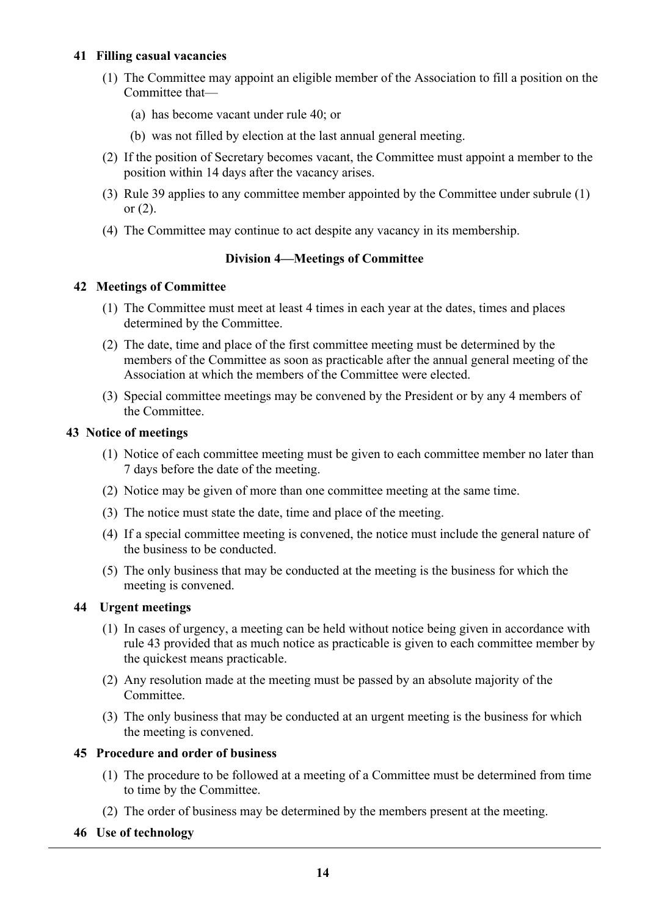## **41 Filling casual vacancies**

- (1) The Committee may appoint an eligible member of the Association to fill a position on the Committee that—
	- (a) has become vacant under rule 40; or
	- (b) was not filled by election at the last annual general meeting.
- (2) If the position of Secretary becomes vacant, the Committee must appoint a member to the position within 14 days after the vacancy arises.
- (3) Rule 39 applies to any committee member appointed by the Committee under subrule (1) or (2).
- (4) The Committee may continue to act despite any vacancy in its membership.

## **Division 4—Meetings of Committee**

## **42 Meetings of Committee**

- (1) The Committee must meet at least 4 times in each year at the dates, times and places determined by the Committee.
- (2) The date, time and place of the first committee meeting must be determined by the members of the Committee as soon as practicable after the annual general meeting of the Association at which the members of the Committee were elected.
- (3) Special committee meetings may be convened by the President or by any 4 members of the Committee.

### **43 Notice of meetings**

- (1) Notice of each committee meeting must be given to each committee member no later than 7 days before the date of the meeting.
- (2) Notice may be given of more than one committee meeting at the same time.
- (3) The notice must state the date, time and place of the meeting.
- (4) If a special committee meeting is convened, the notice must include the general nature of the business to be conducted.
- (5) The only business that may be conducted at the meeting is the business for which the meeting is convened.

## **44 Urgent meetings**

- (1) In cases of urgency, a meeting can be held without notice being given in accordance with rule 43 provided that as much notice as practicable is given to each committee member by the quickest means practicable.
- (2) Any resolution made at the meeting must be passed by an absolute majority of the Committee.
- (3) The only business that may be conducted at an urgent meeting is the business for which the meeting is convened.

## **45 Procedure and order of business**

- (1) The procedure to be followed at a meeting of a Committee must be determined from time to time by the Committee.
- (2) The order of business may be determined by the members present at the meeting.

## **46 Use of technology**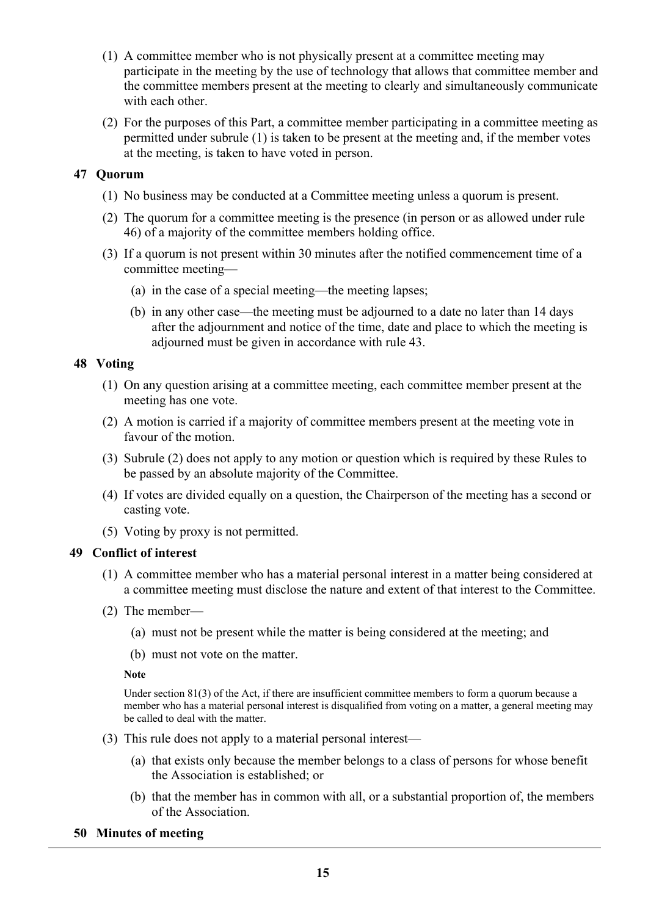- (1) A committee member who is not physically present at a committee meeting may participate in the meeting by the use of technology that allows that committee member and the committee members present at the meeting to clearly and simultaneously communicate with each other.
- (2) For the purposes of this Part, a committee member participating in a committee meeting as permitted under subrule (1) is taken to be present at the meeting and, if the member votes at the meeting, is taken to have voted in person.

## **47 Quorum**

- (1) No business may be conducted at a Committee meeting unless a quorum is present.
- (2) The quorum for a committee meeting is the presence (in person or as allowed under rule 46) of a majority of the committee members holding office.
- (3) If a quorum is not present within 30 minutes after the notified commencement time of a committee meeting—
	- (a) in the case of a special meeting—the meeting lapses;
	- (b) in any other case—the meeting must be adjourned to a date no later than 14 days after the adjournment and notice of the time, date and place to which the meeting is adjourned must be given in accordance with rule 43.

## **48 Voting**

- (1) On any question arising at a committee meeting, each committee member present at the meeting has one vote.
- (2) A motion is carried if a majority of committee members present at the meeting vote in favour of the motion.
- (3) Subrule (2) does not apply to any motion or question which is required by these Rules to be passed by an absolute majority of the Committee.
- (4) If votes are divided equally on a question, the Chairperson of the meeting has a second or casting vote.
- (5) Voting by proxy is not permitted.

## **49 Conflict of interest**

- (1) A committee member who has a material personal interest in a matter being considered at a committee meeting must disclose the nature and extent of that interest to the Committee.
- (2) The member—
	- (a) must not be present while the matter is being considered at the meeting; and
	- (b) must not vote on the matter.

## **Note**

Under section 81(3) of the Act, if there are insufficient committee members to form a quorum because a member who has a material personal interest is disqualified from voting on a matter, a general meeting may be called to deal with the matter.

- (3) This rule does not apply to a material personal interest—
	- (a) that exists only because the member belongs to a class of persons for whose benefit the Association is established; or
	- (b) that the member has in common with all, or a substantial proportion of, the members of the Association.

## **50 Minutes of meeting**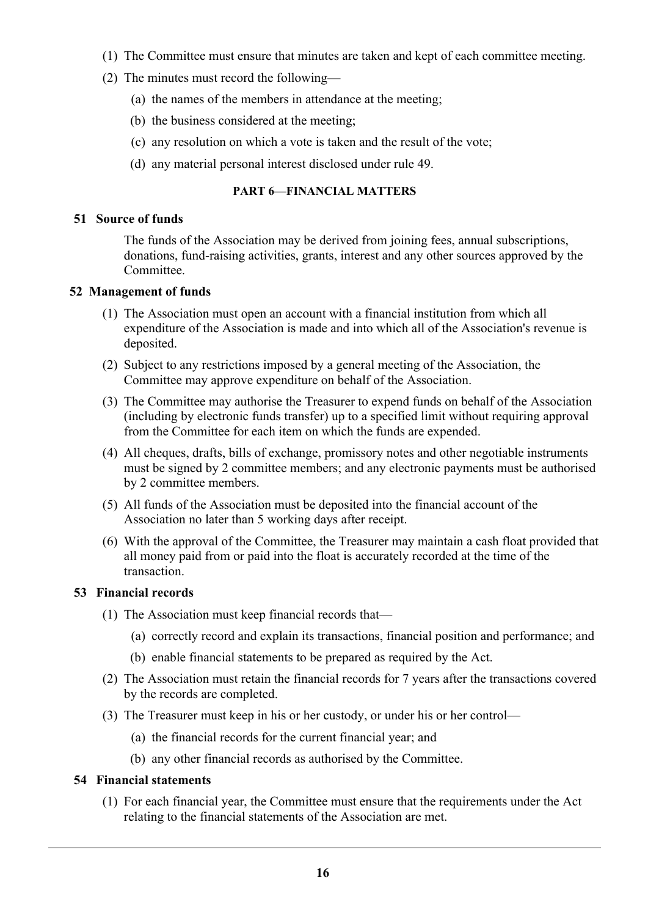- (1) The Committee must ensure that minutes are taken and kept of each committee meeting.
- (2) The minutes must record the following—
	- (a) the names of the members in attendance at the meeting;
	- (b) the business considered at the meeting;
	- (c) any resolution on which a vote is taken and the result of the vote;
	- (d) any material personal interest disclosed under rule 49.

## **PART 6—FINANCIAL MATTERS**

## **51 Source of funds**

The funds of the Association may be derived from joining fees, annual subscriptions, donations, fund-raising activities, grants, interest and any other sources approved by the Committee.

## **52 Management of funds**

- (1) The Association must open an account with a financial institution from which all expenditure of the Association is made and into which all of the Association's revenue is deposited.
- (2) Subject to any restrictions imposed by a general meeting of the Association, the Committee may approve expenditure on behalf of the Association.
- (3) The Committee may authorise the Treasurer to expend funds on behalf of the Association (including by electronic funds transfer) up to a specified limit without requiring approval from the Committee for each item on which the funds are expended.
- (4) All cheques, drafts, bills of exchange, promissory notes and other negotiable instruments must be signed by 2 committee members; and any electronic payments must be authorised by 2 committee members.
- (5) All funds of the Association must be deposited into the financial account of the Association no later than 5 working days after receipt.
- (6) With the approval of the Committee, the Treasurer may maintain a cash float provided that all money paid from or paid into the float is accurately recorded at the time of the transaction.

## **53 Financial records**

- (1) The Association must keep financial records that—
	- (a) correctly record and explain its transactions, financial position and performance; and
	- (b) enable financial statements to be prepared as required by the Act.
- (2) The Association must retain the financial records for 7 years after the transactions covered by the records are completed.
- (3) The Treasurer must keep in his or her custody, or under his or her control—
	- (a) the financial records for the current financial year; and
	- (b) any other financial records as authorised by the Committee.

## **54 Financial statements**

(1) For each financial year, the Committee must ensure that the requirements under the Act relating to the financial statements of the Association are met.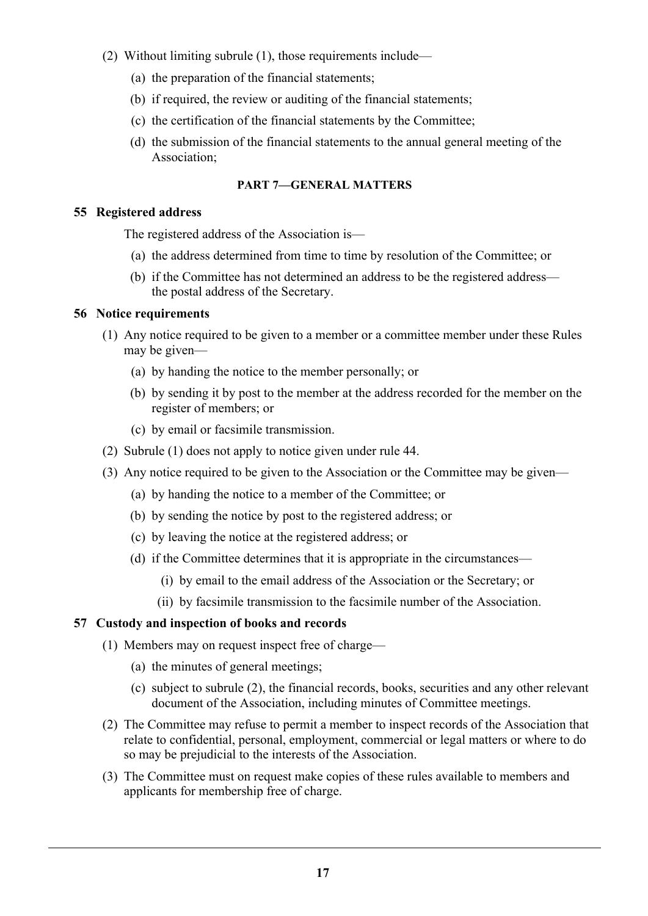- (2) Without limiting subrule (1), those requirements include—
	- (a) the preparation of the financial statements;
	- (b) if required, the review or auditing of the financial statements;
	- (c) the certification of the financial statements by the Committee;
	- (d) the submission of the financial statements to the annual general meeting of the Association;

## **PART 7—GENERAL MATTERS**

## **55 Registered address**

The registered address of the Association is—

- (a) the address determined from time to time by resolution of the Committee; or
- (b) if the Committee has not determined an address to be the registered address the postal address of the Secretary.

## **56 Notice requirements**

- (1) Any notice required to be given to a member or a committee member under these Rules may be given—
	- (a) by handing the notice to the member personally; or
	- (b) by sending it by post to the member at the address recorded for the member on the register of members; or
	- (c) by email or facsimile transmission.
- (2) Subrule (1) does not apply to notice given under rule 44.
- (3) Any notice required to be given to the Association or the Committee may be given—
	- (a) by handing the notice to a member of the Committee; or
	- (b) by sending the notice by post to the registered address; or
	- (c) by leaving the notice at the registered address; or
	- (d) if the Committee determines that it is appropriate in the circumstances—
		- (i) by email to the email address of the Association or the Secretary; or
		- (ii) by facsimile transmission to the facsimile number of the Association.

## **57 Custody and inspection of books and records**

- (1) Members may on request inspect free of charge—
	- (a) the minutes of general meetings;
	- (c) subject to subrule (2), the financial records, books, securities and any other relevant document of the Association, including minutes of Committee meetings.
- (2) The Committee may refuse to permit a member to inspect records of the Association that relate to confidential, personal, employment, commercial or legal matters or where to do so may be prejudicial to the interests of the Association.
- (3) The Committee must on request make copies of these rules available to members and applicants for membership free of charge.